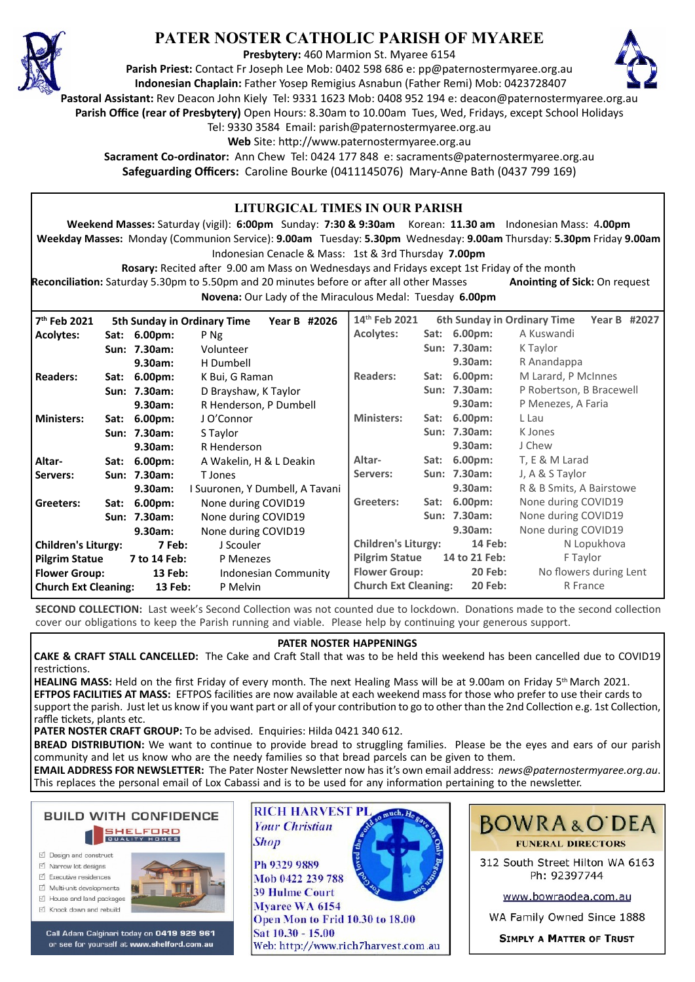

## **PATER NOSTER CATHOLIC PARISH OF MYAREE**

**Presbytery:** 460 Marmion St. Myaree 6154

**Parish Priest:** Contact Fr Joseph Lee Mob: 0402 598 686 e: pp@paternostermyaree.org.au **Indonesian Chaplain:** Father Yosep Remigius Asnabun (Father Remi) Mob: 0423728407



**Pastoral Assistant:** Rev Deacon John Kiely Tel: 9331 1623 Mob: 0408 952 194 e: deacon@paternostermyaree.org.au

**Parish Office (rear of Presbytery)** Open Hours: 8.30am to 10.00am Tues, Wed, Fridays, except School Holidays

Tel: 9330 3584 Email: parish@paternostermyaree.org.au

Web Site: http://www.paternostermyaree.org.au

**Sacrament Co-ordinator:** Ann Chew Tel: 0424 177 848 e: sacraments@paternostermyaree.org.au **Safeguarding Officers:** Caroline Bourke (0411145076) Mary-Anne Bath (0437 799 169)

| <b>LITURGICAL TIMES IN OUR PARISH</b><br>Weekend Masses: Saturday (vigil): 6:00pm Sunday: 7:30 & 9:30am Korean: 11.30 am Indonesian Mass: 4.00pm<br>Weekday Masses: Monday (Communion Service): 9.00am Tuesday: 5.30pm Wednesday: 9.00am Thursday: 5.30pm Friday 9.00am<br>Indonesian Cenacle & Mass: 1st & 3rd Thursday 7.00pm<br>Rosary: Recited after 9.00 am Mass on Wednesdays and Fridays except 1st Friday of the month<br><b>Reconciliation:</b> Saturday 5.30pm to 5.50pm and 20 minutes before or after all other Masses<br><b>Anointing of Sick: On request</b> |                                                                       |              |                                  |                                                          |                                               |                                              |                          |                             |                    |  |  |
|----------------------------------------------------------------------------------------------------------------------------------------------------------------------------------------------------------------------------------------------------------------------------------------------------------------------------------------------------------------------------------------------------------------------------------------------------------------------------------------------------------------------------------------------------------------------------|-----------------------------------------------------------------------|--------------|----------------------------------|----------------------------------------------------------|-----------------------------------------------|----------------------------------------------|--------------------------|-----------------------------|--------------------|--|--|
|                                                                                                                                                                                                                                                                                                                                                                                                                                                                                                                                                                            |                                                                       |              |                                  | Novena: Our Lady of the Miraculous Medal: Tuesday 6.00pm |                                               |                                              |                          |                             |                    |  |  |
| 7 <sup>th</sup> Feb 2021                                                                                                                                                                                                                                                                                                                                                                                                                                                                                                                                                   |                                                                       |              | 5th Sunday in Ordinary Time      | Year B #2026                                             | 14th Feb 2021                                 |                                              |                          | 6th Sunday in Ordinary Time | Year B #2027       |  |  |
| <b>Acolytes:</b>                                                                                                                                                                                                                                                                                                                                                                                                                                                                                                                                                           |                                                                       | Sat: 6.00pm: | P Ng                             |                                                          | <b>Acolytes:</b>                              |                                              | Sat: 6.00pm:             | A Kuswandi                  |                    |  |  |
|                                                                                                                                                                                                                                                                                                                                                                                                                                                                                                                                                                            |                                                                       | Sun: 7.30am: | Volunteer                        |                                                          |                                               |                                              | Sun: 7.30am:             | K Taylor                    |                    |  |  |
|                                                                                                                                                                                                                                                                                                                                                                                                                                                                                                                                                                            |                                                                       | 9.30am:      | H Dumbell                        |                                                          |                                               |                                              | 9.30am:                  | R Anandappa                 |                    |  |  |
| <b>Readers:</b>                                                                                                                                                                                                                                                                                                                                                                                                                                                                                                                                                            | Sat:                                                                  | $6.00pm$ :   | K Bui, G Raman                   |                                                          | <b>Readers:</b>                               |                                              | Sat: 6.00pm:             | M Larard, P McInnes         |                    |  |  |
|                                                                                                                                                                                                                                                                                                                                                                                                                                                                                                                                                                            | Sun: 7.30am:<br>D Brayshaw, K Taylor                                  |              |                                  | Sun: 7.30am:                                             |                                               |                                              | P Robertson, B Bracewell |                             |                    |  |  |
|                                                                                                                                                                                                                                                                                                                                                                                                                                                                                                                                                                            |                                                                       | 9.30am:      | R Henderson, P Dumbell           |                                                          |                                               |                                              | 9.30am:                  |                             | P Menezes, A Faria |  |  |
| <b>Ministers:</b>                                                                                                                                                                                                                                                                                                                                                                                                                                                                                                                                                          |                                                                       | Sat: 6.00pm: | J O'Connor                       |                                                          | <b>Ministers:</b>                             |                                              | Sat: 6.00pm:             | L Lau                       |                    |  |  |
|                                                                                                                                                                                                                                                                                                                                                                                                                                                                                                                                                                            | Sun: 7.30am:<br>S Taylor<br>9.30am:<br>R Henderson                    |              |                                  |                                                          | Sun: 7.30am:                                  | K Jones                                      |                          |                             |                    |  |  |
|                                                                                                                                                                                                                                                                                                                                                                                                                                                                                                                                                                            |                                                                       |              |                                  |                                                          |                                               | 9.30am:                                      | J Chew                   |                             |                    |  |  |
| Altar-                                                                                                                                                                                                                                                                                                                                                                                                                                                                                                                                                                     |                                                                       | Sat: 6.00pm: | A Wakelin, H & L Deakin          |                                                          | Altar-                                        |                                              | Sat: 6.00pm:             | T, E & M Larad              |                    |  |  |
| Servers:                                                                                                                                                                                                                                                                                                                                                                                                                                                                                                                                                                   | Sun: 7.30am:<br>T Jones<br>9.30am:<br>I Suuronen, Y Dumbell, A Tavani |              |                                  | Servers:                                                 |                                               | Sun: 7.30am:                                 | J, A & S Taylor          |                             |                    |  |  |
|                                                                                                                                                                                                                                                                                                                                                                                                                                                                                                                                                                            |                                                                       |              |                                  |                                                          | R & B Smits, A Bairstowe<br>9.30am:           |                                              |                          |                             |                    |  |  |
| Greeters:                                                                                                                                                                                                                                                                                                                                                                                                                                                                                                                                                                  |                                                                       | Sat: 6.00pm: | Greeters:<br>None during COVID19 |                                                          | Sat: 6.00pm:                                  | None during COVID19                          |                          |                             |                    |  |  |
|                                                                                                                                                                                                                                                                                                                                                                                                                                                                                                                                                                            |                                                                       | Sun: 7.30am: | None during COVID19              |                                                          |                                               |                                              | Sun: 7.30am:             | None during COVID19         |                    |  |  |
|                                                                                                                                                                                                                                                                                                                                                                                                                                                                                                                                                                            |                                                                       | 9.30am:      | None during COVID19              |                                                          |                                               |                                              | 9.30am:                  | None during COVID19         |                    |  |  |
| <b>Children's Liturgy:</b><br>7 Feb:                                                                                                                                                                                                                                                                                                                                                                                                                                                                                                                                       |                                                                       |              | J Scouler                        |                                                          |                                               | <b>Children's Liturgy:</b><br><b>14 Feb:</b> |                          | N Lopukhova                 |                    |  |  |
| <b>Pilgrim Statue</b><br>7 to 14 Feb:                                                                                                                                                                                                                                                                                                                                                                                                                                                                                                                                      |                                                                       |              | P Menezes                        |                                                          | <b>Pilgrim Statue</b><br>14 to 21 Feb:        |                                              |                          | F Taylor                    |                    |  |  |
| <b>Flower Group:</b><br>13 Feb:<br>Indonesian Community                                                                                                                                                                                                                                                                                                                                                                                                                                                                                                                    |                                                                       |              |                                  | <b>Flower Group:</b><br><b>20 Feb:</b>                   |                                               |                                              | No flowers during Lent   |                             |                    |  |  |
| <b>Church Ext Cleaning:</b><br>13 Feb:<br>P Melvin                                                                                                                                                                                                                                                                                                                                                                                                                                                                                                                         |                                                                       |              |                                  |                                                          | <b>Church Ext Cleaning:</b><br><b>20 Feb:</b> |                                              |                          | R France                    |                    |  |  |

**SECOND COLLECTION:** Last week's Second Collection was not counted due to lockdown. Donations made to the second collection cover our obligations to keep the Parish running and viable. Please help by continuing your generous support.

## **PATER NOSTER HAPPENINGS**

**CAKE & CRAFT STALL CANCELLED:** The Cake and Cra� Stall that was to be held this weekend has been cancelled due to COVID19 restrictions.

**HEALING MASS:** Held on the first Friday of every month. The next Healing Mass will be at 9.00am on Friday 5th March 2021. EFTPOS FACILITIES AT MASS: EFTPOS facilities are now available at each weekend mass for those who prefer to use their cards to support the parish. Just let us know if you want part or all of your contribution to go to other than the 2nd Collection e.g. 1st Collection, raffle tickets, plants etc.

PATER NOSTER CRAFT GROUP: To be advised. Enquiries: Hilda 0421 340 612.

**BREAD DISTRIBUTION:** We want to continue to provide bread to struggling families. Please be the eyes and ears of our parish community and let us know who are the needy families so that bread parcels can be given to them.

**EMAIL ADDRESS FOR NEWSLETTER:** The Pater Noster Newsle�er now has it's own email address: *news@paternostermyaree.org.au*. This replaces the personal email of Lox Cabassi and is to be used for any information pertaining to the newsletter.

# **BUILD WITH CONFIDENCE SHELFORD**

- ☑ Design and construct
- $\triangledown$  Narrow lot designe
- $\triangledown$  Executive residences
- Multi-unit developments
- M House and land packages ☑ Knock down and rebuild



Call Adam Calginari today on 0419 929 961 or see for yourself at www.shelford.com.au



Mob 0422 239 788 **39 Hulme Court** Myaree WA 6154 Open Mon to Frid 10.30 to 18.00 Sat 10.30 - 15.00 Web: http://www.rich7harvest.com.au



312 South Street Hilton WA 6163 Ph: 92397744

www.bowraodea.com.au

WA Family Owned Since 1888

**SIMPLY A MATTER OF TRUST**